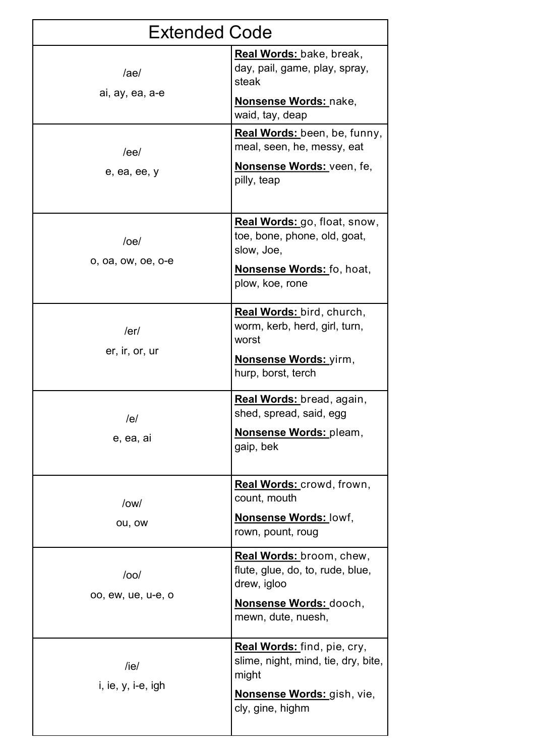| <b>Extended Code</b>              |                                                                                                                               |
|-----------------------------------|-------------------------------------------------------------------------------------------------------------------------------|
| /ae/<br>ai, ay, ea, a-e           | Real Words: bake, break,<br>day, pail, game, play, spray,<br>steak<br><u>Nonsense Words: nake,</u><br>waid, tay, deap         |
| /ee/<br>e, ea, ee, y              | Real Words: been, be, funny,<br>meal, seen, he, messy, eat<br>Nonsense Words: veen, fe,<br>pilly, teap                        |
| $/$ oe $/$<br>o, oa, ow, oe, o-e  | Real Words: go, float, snow,<br>toe, bone, phone, old, goat,<br>slow, Joe,<br>Nonsense Words: fo, hoat,<br>plow, koe, rone    |
| /er/<br>er, ir, or, ur            | Real Words: bird, church,<br>worm, kerb, herd, girl, turn,<br>worst<br><b>Nonsense Words:</b> yirm,<br>hurp, borst, terch     |
| /e/<br>e, ea, ai                  | Real Words: bread, again,<br>shed, spread, said, egg<br>Nonsense Words: pleam,<br>gaip, bek                                   |
| $\text{low}/\text{low}$<br>ou, ow | Real Words: crowd, frown,<br>count, mouth<br><b>Nonsense Words: lowf,</b><br>rown, pount, roug                                |
| $/$ oo $/$<br>oo, ew, ue, u-e, o  | Real Words: broom, chew,<br>flute, glue, do, to, rude, blue,<br>drew, igloo<br>Nonsense Words: dooch,<br>mewn, dute, nuesh,   |
| /ie/<br>$i, ie, y, i-e, igh$      | Real Words: find, pie, cry,<br>slime, night, mind, tie, dry, bite,<br>might<br>Nonsense Words: gish, vie,<br>cly, gine, highm |